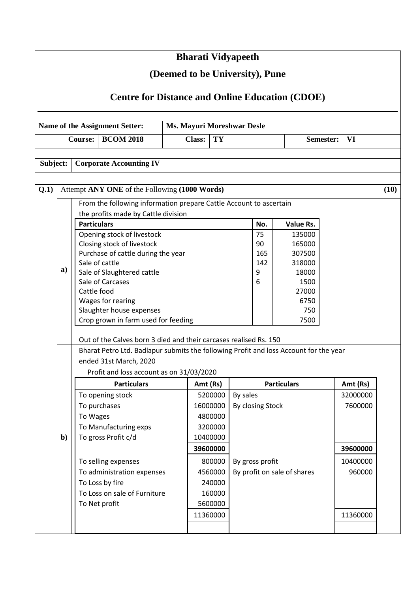|          |              |                                                                                       | <b>Bharati Vidyapeeth</b>         |          |                    |                  |                             |           |          |      |
|----------|--------------|---------------------------------------------------------------------------------------|-----------------------------------|----------|--------------------|------------------|-----------------------------|-----------|----------|------|
|          |              |                                                                                       | (Deemed to be University), Pune   |          |                    |                  |                             |           |          |      |
|          |              |                                                                                       |                                   |          |                    |                  |                             |           |          |      |
|          |              | <b>Centre for Distance and Online Education (CDOE)</b>                                |                                   |          |                    |                  |                             |           |          |      |
|          |              | Name of the Assignment Setter:                                                        | <b>Ms. Mayuri Moreshwar Desle</b> |          |                    |                  |                             |           |          |      |
|          |              | <b>BCOM 2018</b><br><b>Course:</b>                                                    | <b>Class:</b>                     | TY       |                    |                  |                             | Semester: | VI       |      |
|          |              |                                                                                       |                                   |          |                    |                  |                             |           |          |      |
| Subject: |              | <b>Corporate Accounting IV</b>                                                        |                                   |          |                    |                  |                             |           |          |      |
|          |              |                                                                                       |                                   |          |                    |                  |                             |           |          |      |
| Q.1)     |              | Attempt ANY ONE of the Following (1000 Words)                                         |                                   |          |                    |                  |                             |           |          | (10) |
|          |              | From the following information prepare Cattle Account to ascertain                    |                                   |          |                    |                  |                             |           |          |      |
|          |              | the profits made by Cattle division                                                   |                                   |          |                    |                  |                             |           |          |      |
|          |              | <b>Particulars</b>                                                                    |                                   |          |                    | No.              | Value Rs.                   |           |          |      |
|          |              | Opening stock of livestock<br>Closing stock of livestock                              |                                   |          |                    | 75<br>90         | 135000<br>165000            |           |          |      |
|          |              | Purchase of cattle during the year                                                    |                                   |          |                    | 165              | 307500                      |           |          |      |
|          |              | Sale of cattle                                                                        |                                   |          |                    | 142              | 318000                      |           |          |      |
|          | a)           | Sale of Slaughtered cattle                                                            |                                   |          |                    | 9                | 18000                       |           |          |      |
|          |              | Sale of Carcases                                                                      |                                   |          |                    | 6                | 1500                        |           |          |      |
|          |              | Cattle food                                                                           |                                   |          |                    |                  | 27000                       |           |          |      |
|          |              | Wages for rearing                                                                     |                                   |          |                    |                  | 6750                        |           |          |      |
|          |              | Slaughter house expenses                                                              |                                   |          |                    |                  | 750                         |           |          |      |
|          |              | Crop grown in farm used for feeding                                                   |                                   |          |                    |                  | 7500                        |           |          |      |
|          |              | Out of the Calves born 3 died and their carcases realised Rs. 150                     |                                   |          |                    |                  |                             |           |          |      |
|          |              | Bharat Petro Ltd. Badlapur submits the following Profit and loss Account for the year |                                   |          |                    |                  |                             |           |          |      |
|          |              | ended 31st March, 2020                                                                |                                   |          |                    |                  |                             |           |          |      |
|          |              | Profit and loss account as on 31/03/2020                                              |                                   |          |                    |                  |                             |           |          |      |
|          |              | <b>Particulars</b>                                                                    |                                   | Amt (Rs) | <b>Particulars</b> |                  |                             |           | Amt (Rs) |      |
|          |              | To opening stock<br>5200000                                                           |                                   |          |                    | By sales         |                             |           | 32000000 |      |
|          |              | To purchases                                                                          |                                   | 16000000 |                    | By closing Stock |                             |           | 7600000  |      |
|          |              | To Wages                                                                              |                                   | 4800000  |                    |                  |                             |           |          |      |
|          |              | To Manufacturing exps                                                                 |                                   | 3200000  |                    |                  |                             |           |          |      |
|          | $\mathbf{b}$ | To gross Profit c/d                                                                   |                                   | 10400000 |                    |                  |                             |           |          |      |
|          |              |                                                                                       |                                   | 39600000 |                    |                  |                             |           | 39600000 |      |
|          |              | To selling expenses                                                                   |                                   | 800000   |                    | By gross profit  |                             |           | 10400000 |      |
|          |              | To administration expenses                                                            |                                   | 4560000  |                    |                  | By profit on sale of shares |           | 960000   |      |
|          |              | To Loss by fire                                                                       |                                   | 240000   |                    |                  |                             |           |          |      |
|          |              | To Loss on sale of Furniture                                                          |                                   | 160000   |                    |                  |                             |           |          |      |
|          |              | To Net profit                                                                         |                                   | 5600000  |                    |                  |                             |           |          |      |
|          |              |                                                                                       |                                   | 11360000 |                    |                  |                             |           | 11360000 |      |
|          |              |                                                                                       |                                   |          |                    |                  |                             |           |          |      |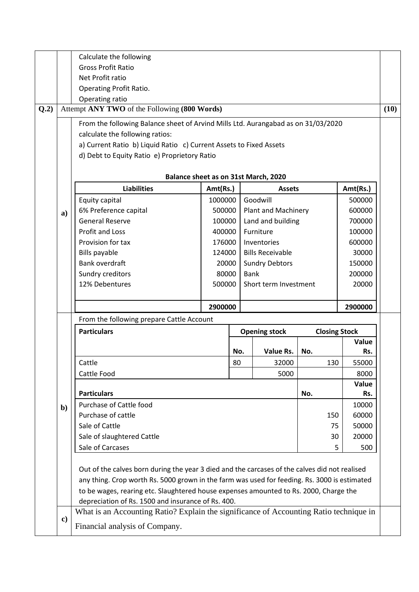| <b>Gross Profit Ratio</b><br>Net Profit ratio<br><b>Operating Profit Ratio.</b><br>Operating ratio<br>Attempt ANY TWO of the Following (800 Words)<br>From the following Balance sheet of Arvind Mills Ltd. Aurangabad as on 31/03/2020<br>calculate the following ratios:<br>a) Current Ratio b) Liquid Ratio c) Current Assets to Fixed Assets<br>d) Debt to Equity Ratio e) Proprietory Ratio<br><b>Liabilities</b><br>Equity capital<br>6% Preference capital<br><b>General Reserve</b><br><b>Profit and Loss</b><br>Provision for tax<br><b>Bills payable</b><br>Bank overdraft<br>Sundry creditors<br>12% Debentures | Balance sheet as on 31st March, 2020<br>Amt(Rs.)<br>1000000<br>500000<br>100000<br>400000<br>176000<br>124000<br>20000<br>80000<br>500000                        |         | Goodwill<br><b>Plant and Machinery</b><br>Land and building<br>Furniture<br>Inventories<br><b>Bills Receivable</b><br><b>Sundry Debtors</b><br><b>Bank</b> | <b>Assets</b> |                            |                                              | Amt(Rs.)<br>500000<br>600000<br>700000<br>100000<br>600000<br>30000 | (10)                                                                                                                                                                               |
|----------------------------------------------------------------------------------------------------------------------------------------------------------------------------------------------------------------------------------------------------------------------------------------------------------------------------------------------------------------------------------------------------------------------------------------------------------------------------------------------------------------------------------------------------------------------------------------------------------------------------|------------------------------------------------------------------------------------------------------------------------------------------------------------------|---------|------------------------------------------------------------------------------------------------------------------------------------------------------------|---------------|----------------------------|----------------------------------------------|---------------------------------------------------------------------|------------------------------------------------------------------------------------------------------------------------------------------------------------------------------------|
|                                                                                                                                                                                                                                                                                                                                                                                                                                                                                                                                                                                                                            |                                                                                                                                                                  |         |                                                                                                                                                            |               |                            |                                              |                                                                     |                                                                                                                                                                                    |
|                                                                                                                                                                                                                                                                                                                                                                                                                                                                                                                                                                                                                            |                                                                                                                                                                  |         |                                                                                                                                                            |               |                            |                                              |                                                                     |                                                                                                                                                                                    |
|                                                                                                                                                                                                                                                                                                                                                                                                                                                                                                                                                                                                                            |                                                                                                                                                                  |         |                                                                                                                                                            |               |                            |                                              |                                                                     |                                                                                                                                                                                    |
|                                                                                                                                                                                                                                                                                                                                                                                                                                                                                                                                                                                                                            |                                                                                                                                                                  |         |                                                                                                                                                            |               |                            |                                              |                                                                     |                                                                                                                                                                                    |
|                                                                                                                                                                                                                                                                                                                                                                                                                                                                                                                                                                                                                            |                                                                                                                                                                  |         |                                                                                                                                                            |               |                            |                                              |                                                                     |                                                                                                                                                                                    |
|                                                                                                                                                                                                                                                                                                                                                                                                                                                                                                                                                                                                                            |                                                                                                                                                                  |         |                                                                                                                                                            |               |                            |                                              |                                                                     |                                                                                                                                                                                    |
|                                                                                                                                                                                                                                                                                                                                                                                                                                                                                                                                                                                                                            |                                                                                                                                                                  |         |                                                                                                                                                            |               |                            |                                              |                                                                     |                                                                                                                                                                                    |
|                                                                                                                                                                                                                                                                                                                                                                                                                                                                                                                                                                                                                            |                                                                                                                                                                  |         |                                                                                                                                                            |               |                            |                                              |                                                                     |                                                                                                                                                                                    |
|                                                                                                                                                                                                                                                                                                                                                                                                                                                                                                                                                                                                                            |                                                                                                                                                                  |         |                                                                                                                                                            |               |                            |                                              |                                                                     |                                                                                                                                                                                    |
|                                                                                                                                                                                                                                                                                                                                                                                                                                                                                                                                                                                                                            |                                                                                                                                                                  |         |                                                                                                                                                            |               |                            |                                              |                                                                     |                                                                                                                                                                                    |
|                                                                                                                                                                                                                                                                                                                                                                                                                                                                                                                                                                                                                            |                                                                                                                                                                  |         |                                                                                                                                                            |               |                            |                                              |                                                                     |                                                                                                                                                                                    |
|                                                                                                                                                                                                                                                                                                                                                                                                                                                                                                                                                                                                                            |                                                                                                                                                                  |         |                                                                                                                                                            |               |                            |                                              |                                                                     |                                                                                                                                                                                    |
|                                                                                                                                                                                                                                                                                                                                                                                                                                                                                                                                                                                                                            |                                                                                                                                                                  |         |                                                                                                                                                            |               |                            |                                              |                                                                     |                                                                                                                                                                                    |
|                                                                                                                                                                                                                                                                                                                                                                                                                                                                                                                                                                                                                            |                                                                                                                                                                  |         |                                                                                                                                                            |               |                            |                                              |                                                                     |                                                                                                                                                                                    |
|                                                                                                                                                                                                                                                                                                                                                                                                                                                                                                                                                                                                                            |                                                                                                                                                                  |         |                                                                                                                                                            |               |                            |                                              |                                                                     |                                                                                                                                                                                    |
|                                                                                                                                                                                                                                                                                                                                                                                                                                                                                                                                                                                                                            |                                                                                                                                                                  |         |                                                                                                                                                            |               |                            |                                              |                                                                     |                                                                                                                                                                                    |
|                                                                                                                                                                                                                                                                                                                                                                                                                                                                                                                                                                                                                            |                                                                                                                                                                  |         |                                                                                                                                                            |               |                            |                                              |                                                                     |                                                                                                                                                                                    |
|                                                                                                                                                                                                                                                                                                                                                                                                                                                                                                                                                                                                                            |                                                                                                                                                                  |         |                                                                                                                                                            |               |                            |                                              |                                                                     |                                                                                                                                                                                    |
|                                                                                                                                                                                                                                                                                                                                                                                                                                                                                                                                                                                                                            |                                                                                                                                                                  |         |                                                                                                                                                            |               |                            |                                              | 150000                                                              |                                                                                                                                                                                    |
|                                                                                                                                                                                                                                                                                                                                                                                                                                                                                                                                                                                                                            |                                                                                                                                                                  |         |                                                                                                                                                            |               |                            | 200000                                       |                                                                     |                                                                                                                                                                                    |
|                                                                                                                                                                                                                                                                                                                                                                                                                                                                                                                                                                                                                            |                                                                                                                                                                  |         | Short term Investment                                                                                                                                      |               |                            |                                              | 20000                                                               |                                                                                                                                                                                    |
|                                                                                                                                                                                                                                                                                                                                                                                                                                                                                                                                                                                                                            |                                                                                                                                                                  |         |                                                                                                                                                            |               |                            |                                              |                                                                     |                                                                                                                                                                                    |
|                                                                                                                                                                                                                                                                                                                                                                                                                                                                                                                                                                                                                            |                                                                                                                                                                  | 2900000 |                                                                                                                                                            |               |                            |                                              | 2900000                                                             |                                                                                                                                                                                    |
| From the following prepare Cattle Account                                                                                                                                                                                                                                                                                                                                                                                                                                                                                                                                                                                  |                                                                                                                                                                  |         |                                                                                                                                                            |               |                            |                                              |                                                                     |                                                                                                                                                                                    |
| <b>Particulars</b><br><b>Opening stock</b><br><b>Closing Stock</b>                                                                                                                                                                                                                                                                                                                                                                                                                                                                                                                                                         |                                                                                                                                                                  |         |                                                                                                                                                            |               |                            |                                              |                                                                     |                                                                                                                                                                                    |
|                                                                                                                                                                                                                                                                                                                                                                                                                                                                                                                                                                                                                            |                                                                                                                                                                  |         |                                                                                                                                                            |               |                            |                                              |                                                                     |                                                                                                                                                                                    |
|                                                                                                                                                                                                                                                                                                                                                                                                                                                                                                                                                                                                                            |                                                                                                                                                                  |         |                                                                                                                                                            |               |                            |                                              |                                                                     |                                                                                                                                                                                    |
|                                                                                                                                                                                                                                                                                                                                                                                                                                                                                                                                                                                                                            |                                                                                                                                                                  |         |                                                                                                                                                            |               |                            |                                              |                                                                     |                                                                                                                                                                                    |
|                                                                                                                                                                                                                                                                                                                                                                                                                                                                                                                                                                                                                            |                                                                                                                                                                  |         |                                                                                                                                                            |               |                            |                                              |                                                                     |                                                                                                                                                                                    |
|                                                                                                                                                                                                                                                                                                                                                                                                                                                                                                                                                                                                                            |                                                                                                                                                                  |         |                                                                                                                                                            |               |                            |                                              |                                                                     |                                                                                                                                                                                    |
|                                                                                                                                                                                                                                                                                                                                                                                                                                                                                                                                                                                                                            |                                                                                                                                                                  |         |                                                                                                                                                            |               |                            |                                              |                                                                     |                                                                                                                                                                                    |
|                                                                                                                                                                                                                                                                                                                                                                                                                                                                                                                                                                                                                            |                                                                                                                                                                  |         |                                                                                                                                                            |               |                            |                                              |                                                                     |                                                                                                                                                                                    |
|                                                                                                                                                                                                                                                                                                                                                                                                                                                                                                                                                                                                                            |                                                                                                                                                                  |         |                                                                                                                                                            |               |                            | 75                                           |                                                                     |                                                                                                                                                                                    |
|                                                                                                                                                                                                                                                                                                                                                                                                                                                                                                                                                                                                                            |                                                                                                                                                                  |         |                                                                                                                                                            |               | 30                         |                                              |                                                                     |                                                                                                                                                                                    |
|                                                                                                                                                                                                                                                                                                                                                                                                                                                                                                                                                                                                                            |                                                                                                                                                                  |         |                                                                                                                                                            |               | 5                          |                                              |                                                                     |                                                                                                                                                                                    |
|                                                                                                                                                                                                                                                                                                                                                                                                                                                                                                                                                                                                                            |                                                                                                                                                                  |         |                                                                                                                                                            |               |                            |                                              |                                                                     |                                                                                                                                                                                    |
|                                                                                                                                                                                                                                                                                                                                                                                                                                                                                                                                                                                                                            |                                                                                                                                                                  |         |                                                                                                                                                            |               |                            |                                              |                                                                     |                                                                                                                                                                                    |
|                                                                                                                                                                                                                                                                                                                                                                                                                                                                                                                                                                                                                            |                                                                                                                                                                  |         |                                                                                                                                                            |               |                            |                                              |                                                                     |                                                                                                                                                                                    |
|                                                                                                                                                                                                                                                                                                                                                                                                                                                                                                                                                                                                                            |                                                                                                                                                                  |         |                                                                                                                                                            |               |                            |                                              |                                                                     |                                                                                                                                                                                    |
|                                                                                                                                                                                                                                                                                                                                                                                                                                                                                                                                                                                                                            |                                                                                                                                                                  |         |                                                                                                                                                            |               |                            |                                              |                                                                     |                                                                                                                                                                                    |
|                                                                                                                                                                                                                                                                                                                                                                                                                                                                                                                                                                                                                            |                                                                                                                                                                  |         |                                                                                                                                                            |               |                            |                                              |                                                                     |                                                                                                                                                                                    |
| $\bf c)$                                                                                                                                                                                                                                                                                                                                                                                                                                                                                                                                                                                                                   |                                                                                                                                                                  |         |                                                                                                                                                            |               |                            |                                              |                                                                     |                                                                                                                                                                                    |
| Out of the calves born during the year 3 died and the carcases of the calves did not realised<br>any thing. Crop worth Rs. 5000 grown in the farm was used for feeding. Rs. 3000 is estimated<br>to be wages, rearing etc. Slaughtered house expenses amounted to Rs. 2000, Charge the                                                                                                                                                                                                                                                                                                                                     |                                                                                                                                                                  |         |                                                                                                                                                            |               |                            |                                              |                                                                     |                                                                                                                                                                                    |
| $b$                                                                                                                                                                                                                                                                                                                                                                                                                                                                                                                                                                                                                        | Cattle<br>Cattle Food<br><b>Particulars</b><br>Purchase of Cattle food<br>Purchase of cattle<br>Sale of Cattle<br>Sale of slaughtered Cattle<br>Sale of Carcases |         | depreciation of Rs. 1500 and insurance of Rs. 400.                                                                                                         | No.<br>80     | Value Rs.<br>32000<br>5000 | No.<br>No.<br>Financial analysis of Company. | 130<br>150                                                          | Value<br>Rs.<br>55000<br>8000<br>Value<br>Rs.<br>10000<br>60000<br>50000<br>20000<br>500<br>What is an Accounting Ratio? Explain the significance of Accounting Ratio technique in |